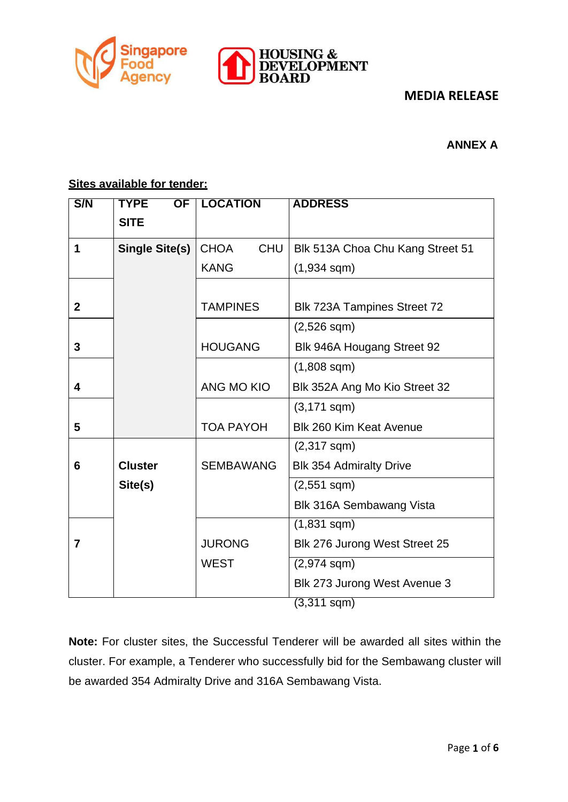



#### **ANNEX A**

## **Sites available for tender:**

| S/N            | <b>TYPE</b><br>$\overline{\text{OF}}$ | <b>LOCATION</b>           | <b>ADDRESS</b>                   |
|----------------|---------------------------------------|---------------------------|----------------------------------|
|                | <b>SITE</b>                           |                           |                                  |
| 1              | <b>Single Site(s)</b>                 | <b>CHOA</b><br><b>CHU</b> | Blk 513A Choa Chu Kang Street 51 |
|                |                                       |                           |                                  |
|                |                                       | <b>KANG</b>               | $(1,934$ sqm $)$                 |
|                |                                       |                           |                                  |
| $\overline{2}$ |                                       | <b>TAMPINES</b>           | Blk 723A Tampines Street 72      |
|                |                                       |                           | $(2,526$ sqm $)$                 |
| 3              |                                       | <b>HOUGANG</b>            | Blk 946A Hougang Street 92       |
|                |                                       |                           | $(1,808$ sqm $)$                 |
| 4              |                                       | ANG MO KIO                | Blk 352A Ang Mo Kio Street 32    |
|                |                                       |                           | $(3,171$ sqm $)$                 |
| 5              |                                       | <b>TOA PAYOH</b>          | <b>Blk 260 Kim Keat Avenue</b>   |
|                |                                       |                           | $(2,317$ sqm $)$                 |
| 6              | <b>Cluster</b>                        | <b>SEMBAWANG</b>          | <b>Blk 354 Admiralty Drive</b>   |
|                | Site(s)                               |                           | $(2,551$ sqm $)$                 |
|                |                                       |                           | <b>Blk 316A Sembawang Vista</b>  |
|                |                                       |                           | $(1,831$ sqm $)$                 |
| $\overline{7}$ |                                       | <b>JURONG</b>             | Blk 276 Jurong West Street 25    |
|                |                                       | <b>WEST</b>               | $(2,974$ sqm)                    |
|                |                                       |                           | Blk 273 Jurong West Avenue 3     |
|                |                                       |                           | $(3,311$ sqm)                    |

**Note:** For cluster sites, the Successful Tenderer will be awarded all sites within the cluster. For example, a Tenderer who successfully bid for the Sembawang cluster will be awarded 354 Admiralty Drive and 316A Sembawang Vista.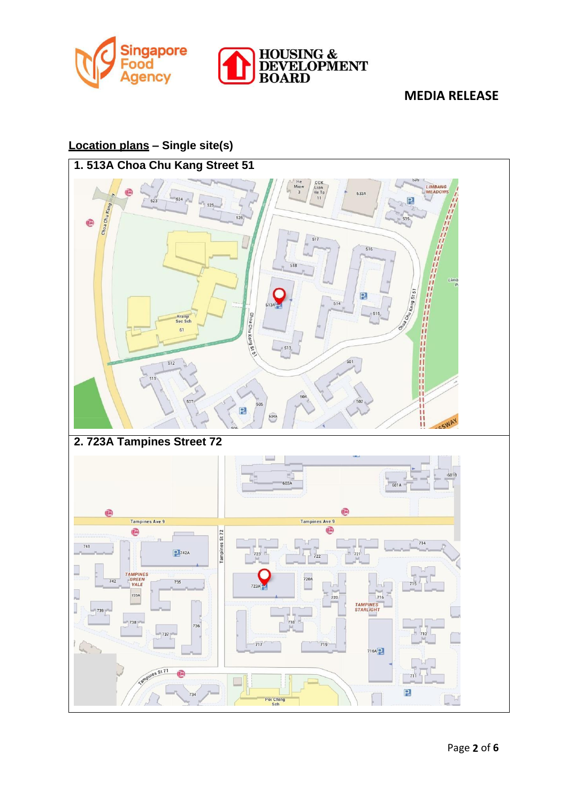



#### **Location plans – Single site(s)**

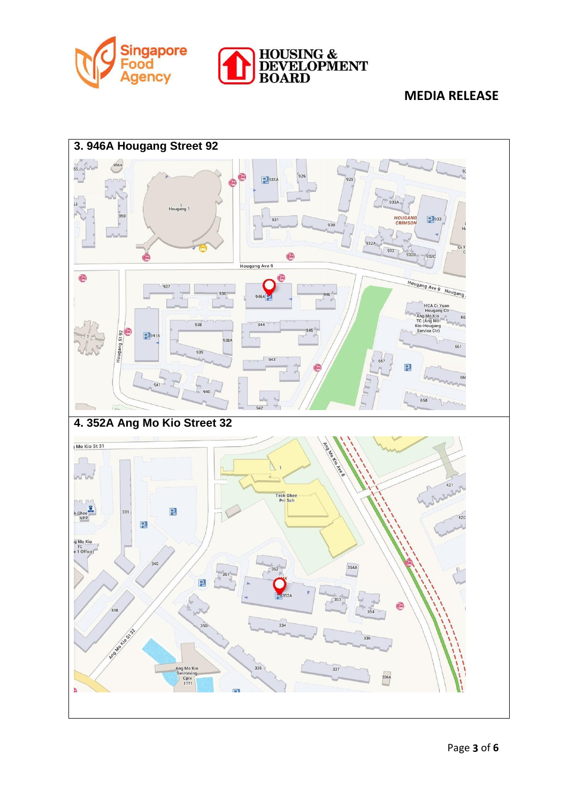



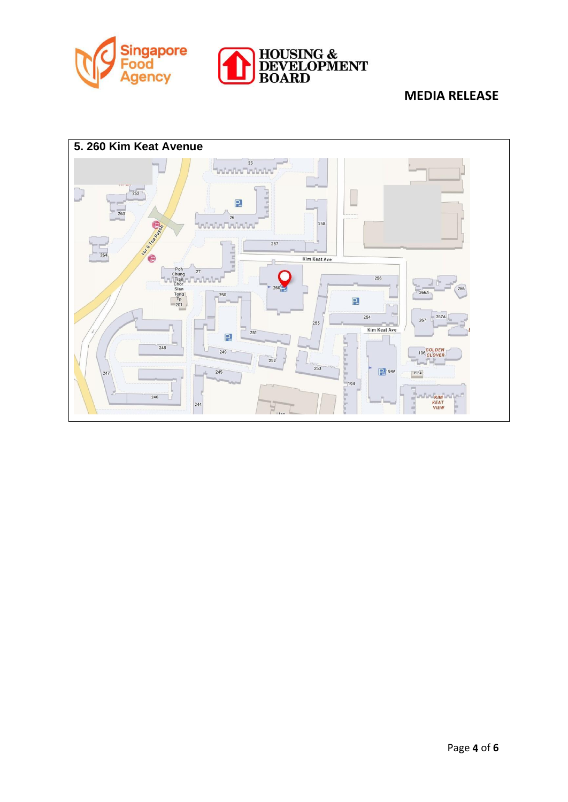



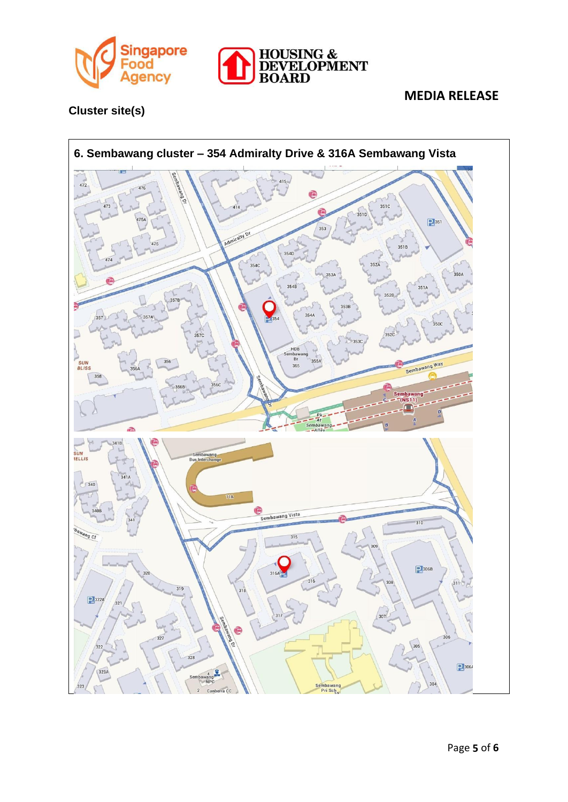



**Cluster site(s)**